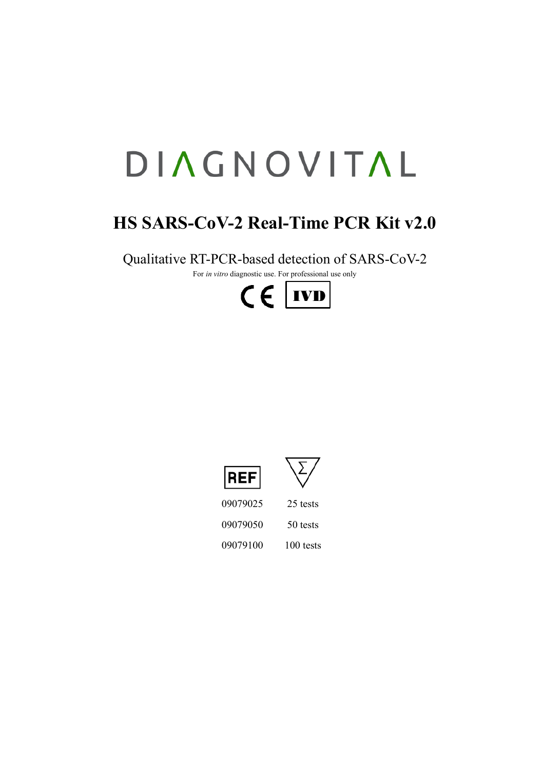# DIAGNOVITAL

# **HS SARS-CoV-2 Real-Time PCR Kit v2.0**

Qualitative RT-PCR-based detection of SARS-CoV-2

For *in vitro* diagnostic use. For professional use only







09079025 25 tests 09079050 50 tests 09079100 100 tests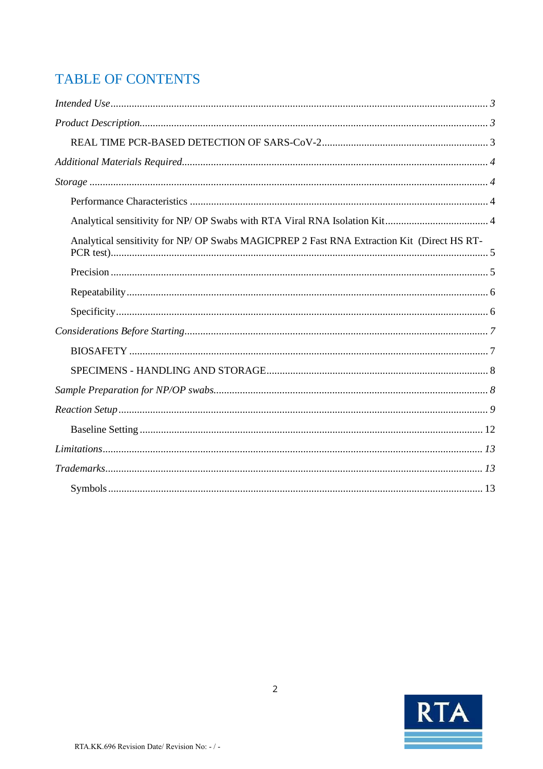# **TABLE OF CONTENTS**

| Analytical sensitivity for NP/ OP Swabs MAGICPREP 2 Fast RNA Extraction Kit (Direct HS RT- |
|--------------------------------------------------------------------------------------------|
|                                                                                            |
|                                                                                            |
|                                                                                            |
|                                                                                            |
|                                                                                            |
|                                                                                            |
|                                                                                            |
|                                                                                            |
|                                                                                            |
|                                                                                            |
|                                                                                            |
|                                                                                            |

<span id="page-1-0"></span>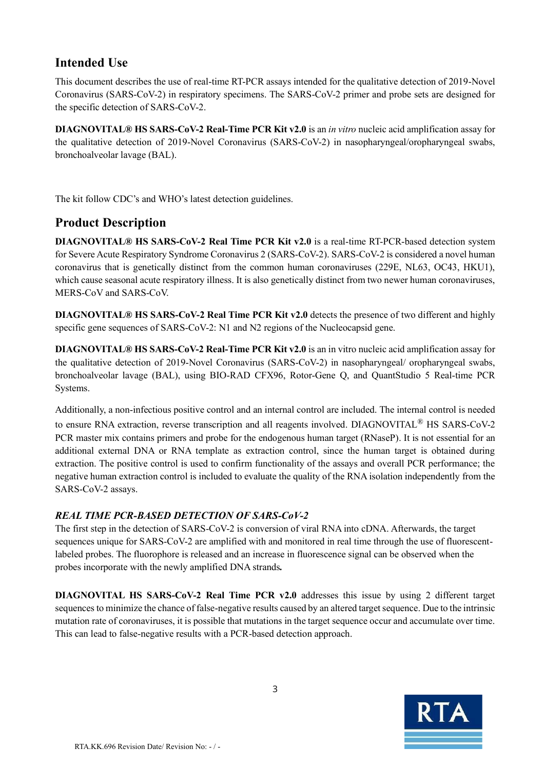# **Intended Use**

This document describes the use of real-time RT-PCR assays intended for the qualitative detection of 2019-Novel Coronavirus (SARS-CoV-2) in respiratory specimens. The SARS-CoV-2 primer and probe sets are designed for the specific detection of SARS-CoV-2.

**DIAGNOVITAL® HS SARS-CoV-2 Real-Time PCR Kit v2.0** is an *in vitro* nucleic acid amplification assay for the qualitative detection of 2019-Novel Coronavirus (SARS-CoV-2) in nasopharyngeal/oropharyngeal swabs, bronchoalveolar lavage (BAL).

The kit follow CDC's and WHO's latest detection guidelines.

# <span id="page-2-0"></span>**Product Description**

**DIAGNOVITAL® HS SARS-CoV-2 Real Time PCR Kit v2.0** is a real-time RT-PCR-based detection system for Severe Acute Respiratory Syndrome Coronavirus 2 (SARS-CoV-2). SARS-CoV-2 is considered a novel human coronavirus that is genetically distinct from the common human coronaviruses (229E, NL63, OC43, HKU1), which cause seasonal acute respiratory illness. It is also genetically distinct from two newer human coronaviruses, MERS-CoV and SARS-CoV.

**DIAGNOVITAL® HS SARS-CoV-2 Real Time PCR Kit v2.0** detects the presence of two different and highly specific gene sequences of SARS-CoV-2: N1 and N2 regions of the Nucleocapsid gene.

**DIAGNOVITAL® HS SARS-CoV-2 Real-Time PCR Kit v2.0** is an in vitro nucleic acid amplification assay for the qualitative detection of 2019-Novel Coronavirus (SARS-CoV-2) in nasopharyngeal/ oropharyngeal swabs, bronchoalveolar lavage (BAL), using BIO-RAD CFX96, Rotor-Gene Q, and QuantStudio 5 Real-time PCR Systems.

Additionally, a non-infectious positive control and an internal control are included. The internal control is needed to ensure RNA extraction, reverse transcription and all reagents involved. DIAGNOVITAL<sup>®</sup> HS SARS-CoV-2 PCR master mix contains primers and probe for the endogenous human target (RNaseP). It is not essential for an additional external DNA or RNA template as extraction control, since the human target is obtained during extraction. The positive control is used to confirm functionality of the assays and overall PCR performance; the negative human extraction control is included to evaluate the quality of the RNA isolation independently from the SARS-CoV-2 assays.

#### <span id="page-2-1"></span>*REAL TIME PCR-BASED DETECTION OF SARS-CoV-2*

The first step in the detection of SARS-CoV-2 is conversion of viral RNA into cDNA. Afterwards, the target sequences unique for SARS-CoV-2 are amplified with and monitored in real time through the use of fluorescentlabeled probes. The fluorophore is released and an increase in fluorescence signal can be observed when the probes incorporate with the newly amplified DNA strands*.*

**DIAGNOVITAL HS SARS-CoV-2 Real Time PCR v2.0** addresses this issue by using 2 different target sequences to minimize the chance of false-negative results caused by an altered target sequence. Due to the intrinsic mutation rate of coronaviruses, it is possible that mutations in the target sequence occur and accumulate over time. This can lead to false-negative results with a PCR-based detection approach.

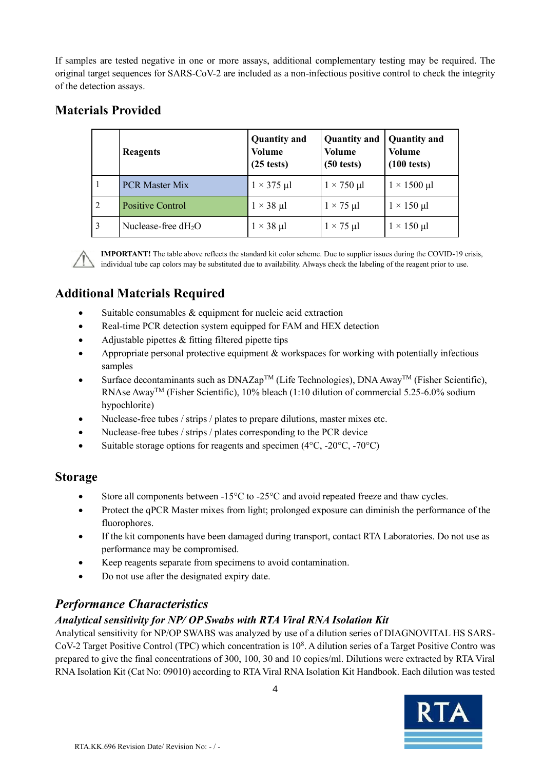If samples are tested negative in one or more assays, additional complementary testing may be required. The original target sequences for SARS-CoV-2 are included as a non-infectious positive control to check the integrity of the detection assays.

# **Materials Provided**

|                | Reagents                        | <b>Quantity and</b><br>Volume<br>$(25 \text{ tests})$ | Quantity and<br><b>Volume</b><br>$(50 \text{ tests})$ | <b>Quantity and</b><br><b>Volume</b><br>$(100 \text{ tests})$ |
|----------------|---------------------------------|-------------------------------------------------------|-------------------------------------------------------|---------------------------------------------------------------|
| 1              | <b>PCR Master Mix</b>           | $1 \times 375$ µl                                     | $1 \times 750$ µl                                     | $1 \times 1500$ µl                                            |
| $\overline{2}$ | Positive Control                | $1 \times 38$ µl                                      | $1 \times 75$ µl                                      | $1 \times 150$ µl                                             |
| $\overline{3}$ | Nuclease-free dH <sub>2</sub> O | $1 \times 38$ µl                                      | $1 \times 75$ µl                                      | $1 \times 150$ µl                                             |

**IMPORTANT!** The table above reflects the standard kit color scheme. Due to supplier issues during the COVID-19 crisis, individual tube cap colors may be substituted due to availability. Always check the labeling of the reagent prior to use.

# <span id="page-3-0"></span>**Additional Materials Required**

- Suitable consumables & equipment for nucleic acid extraction
- Real-time PCR detection system equipped for FAM and HEX detection
- Adjustable pipettes  $&$  fitting filtered pipette tips
- Appropriate personal protective equipment & workspaces for working with potentially infectious samples
- Surface decontaminants such as  $DNAZap^{TM}$  (Life Technologies), DNA Away<sup>TM</sup> (Fisher Scientific), RNAse AwayTM (Fisher Scientific), 10% bleach (1:10 dilution of commercial 5.25-6.0% sodium hypochlorite)
- Nuclease-free tubes / strips / plates to prepare dilutions, master mixes etc.
- Nuclease-free tubes / strips / plates corresponding to the PCR device
- Suitable storage options for reagents and specimen ( $4^{\circ}$ C, - $20^{\circ}$ C, - $70^{\circ}$ C)

#### <span id="page-3-1"></span>**Storage**

- Store all components between -15°C to -25°C and avoid repeated freeze and thaw cycles.
- Protect the qPCR Master mixes from light; prolonged exposure can diminish the performance of the fluorophores.
- If the kit components have been damaged during transport, contact RTA Laboratories. Do not use as performance may be compromised.
- Keep reagents separate from specimens to avoid contamination.
- <span id="page-3-3"></span>• Do not use after the designated expiry date.

# <span id="page-3-2"></span>*Performance Characteristics*

#### *Analytical sensitivity for NP/ OP Swabs with RTA Viral RNA Isolation Kit*

Analytical sensitivity for NP/OP SWABS was analyzed by use of a dilution series of DIAGNOVITAL HS SARS-CoV-2 Target Positive Control (TPC) which concentration is 10<sup>8</sup> . A dilution series of a Target Positive Contro was prepared to give the final concentrations of 300, 100, 30 and 10 copies/ml. Dilutions were extracted by RTA Viral RNA Isolation Kit (Cat No: 09010) according to RTA Viral RNA Isolation Kit Handbook. Each dilution was tested

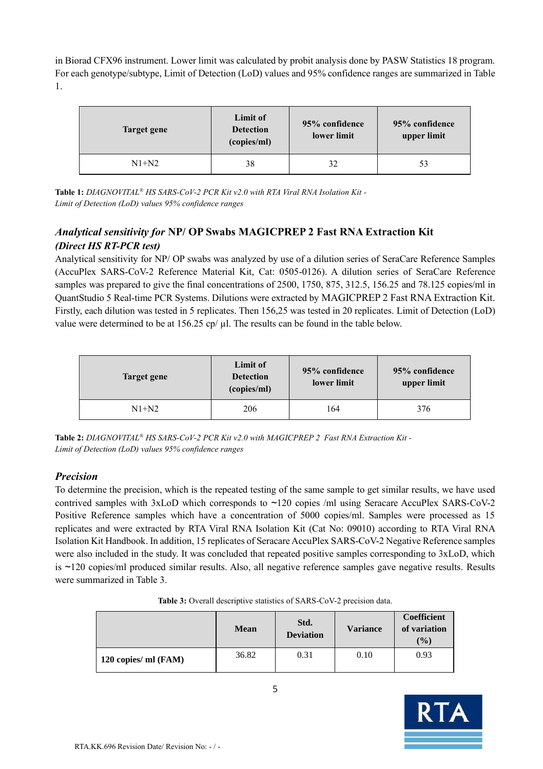in Biorad CFX96 instrument. Lower limit was calculated by probit analysis done by PASW Statistics 18 program. For each genotype/subtype, Limit of Detection (LoD) values and 95% confidence ranges are summarized in Table 1.

| Target gene | Limit of<br><b>Detection</b><br>(copies/ml) | 95% confidence<br>lower limit | 95% confidence<br>upper limit |
|-------------|---------------------------------------------|-------------------------------|-------------------------------|
| $N1+N2$     | 38                                          | 32                            | 53                            |

<span id="page-4-0"></span>**Table 1:** *DIAGNOVITAL® HS SARS-CoV-2 PCR Kit v2.0 with RTA Viral RNA Isolation Kit - Limit of Detection (LoD) values 95% confidence ranges*

#### *Analytical sensitivity for* **NP/ OP Swabs MAGICPREP 2 Fast RNA Extraction Kit** *(Direct HS RT-PCR test)*

Analytical sensitivity for NP/ OP swabs was analyzed by use of a dilution series of SeraCare Reference Samples (AccuPlex SARS-CoV-2 Reference Material Kit, Cat: 0505-0126). A dilution series of SeraCare Reference samples was prepared to give the final concentrations of 2500, 1750, 875, 312.5, 156.25 and 78.125 copies/ml in QuantStudio 5 Real-time PCR Systems. Dilutions were extracted by MAGICPREP 2 Fast RNA Extraction Kit. Firstly, each dilution was tested in 5 replicates. Then 156,25 was tested in 20 replicates. Limit of Detection (LoD) value were determined to be at  $156.25$  cp/ $\mu$ l. The results can be found in the table below.

| Target gene | Limit of<br>95% confidence<br><b>Detection</b><br>lower limit<br>(copies/ml) |     | 95% confidence<br>upper limit |  |
|-------------|------------------------------------------------------------------------------|-----|-------------------------------|--|
| $N1+N2$     | 206                                                                          | 164 | 376                           |  |

<span id="page-4-1"></span>**Table 2:** *DIAGNOVITAL® HS SARS-CoV-2 PCR Kit v2.0 with MAGICPREP 2 Fast RNA Extraction Kit - Limit of Detection (LoD) values 95% confidence ranges*

#### *Precision*

To determine the precision, which is the repeated testing of the same sample to get similar results, we have used contrived samples with 3xLoD which corresponds to ~120 copies /ml using Seracare AccuPlex SARS-CoV-2 Positive Reference samples which have a concentration of 5000 copies/ml. Samples were processed as 15 replicates and were extracted by RTA Viral RNA Isolation Kit (Cat No: 09010) according to RTA Viral RNA Isolation Kit Handbook. In addition, 15 replicates of Seracare AccuPlex SARS-CoV-2 Negative Reference samples were also included in the study. It was concluded that repeated positive samples corresponding to 3xLoD, which is ~120 copies/ml produced similar results. Also, all negative reference samples gave negative results. Results were summarized in Table 3.

|                      | <b>Mean</b> | Std.<br><b>Deviation</b> | <b>Variance</b> | Coefficient<br>of variation<br>$($ %) |
|----------------------|-------------|--------------------------|-----------------|---------------------------------------|
| 120 copies/ ml (FAM) | 36.82       | 0.31                     | 0.10            | 0.93                                  |

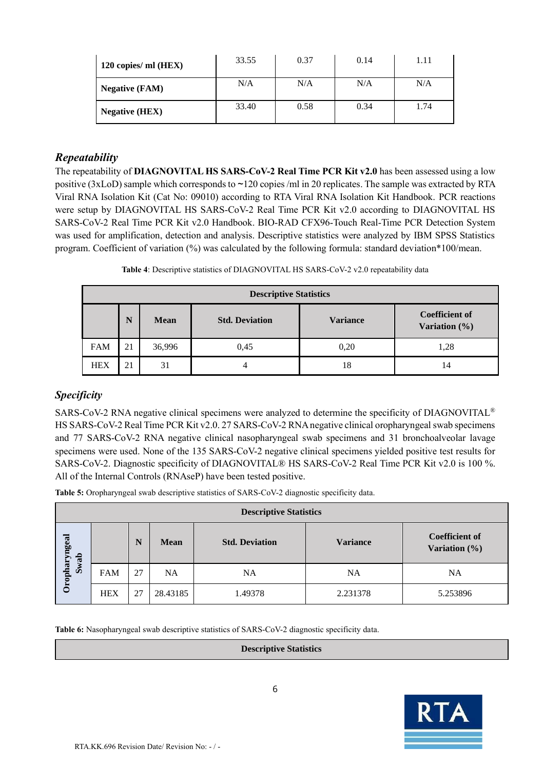| 120 copies/ ml (HEX)  | 33.55 | 0.37 | 0.14 | 1.11 |
|-----------------------|-------|------|------|------|
| <b>Negative (FAM)</b> | N/A   | N/A  | N/A  | N/A  |
| <b>Negative (HEX)</b> | 33.40 | 0.58 | 0.34 | 1.74 |

#### <span id="page-5-0"></span>*Repeatability*

The repeatability of **DIAGNOVITAL HS SARS-CoV-2 Real Time PCR Kit v2.0** has been assessed using a low positive (3xLoD) sample which corresponds to ~120 copies /ml in 20 replicates. The sample was extracted by RTA Viral RNA Isolation Kit (Cat No: 09010) according to RTA Viral RNA Isolation Kit Handbook. PCR reactions were setup by DIAGNOVITAL HS SARS-CoV-2 Real Time PCR Kit v2.0 according to DIAGNOVITAL HS SARS-CoV-2 Real Time PCR Kit v2.0 Handbook. BIO-RAD CFX96-Touch Real-Time PCR Detection System was used for amplification, detection and analysis. Descriptive statistics were analyzed by IBM SPSS Statistics program. Coefficient of variation (%) was calculated by the following formula: standard deviation\*100/mean.

**Table 4**: Descriptive statistics of DIAGNOVITAL HS SARS-CoV-2 v2.0 repeatability data

| <b>Descriptive Statistics</b>                                                                   |    |        |      |      |      |  |  |  |
|-------------------------------------------------------------------------------------------------|----|--------|------|------|------|--|--|--|
| <b>Coefficient of</b><br>N<br><b>Std. Deviation</b><br><b>Variance</b><br>Mean<br>Variation (%) |    |        |      |      |      |  |  |  |
| <b>FAM</b>                                                                                      | 21 | 36,996 | 0.45 | 0.20 | 1,28 |  |  |  |
| <b>HEX</b>                                                                                      | 21 | 31     |      | 18   | 14   |  |  |  |

#### <span id="page-5-1"></span>*Specificity*

SARS-CoV-2 RNA negative clinical specimens were analyzed to determine the specificity of DIAGNOVITAL<sup>®</sup> HS SARS-CoV-2 Real Time PCR Kit v2.0. 27 SARS-CoV-2 RNA negative clinical oropharyngeal swab specimens and 77 SARS-CoV-2 RNA negative clinical nasopharyngeal swab specimens and 31 bronchoalveolar lavage specimens were used. None of the 135 SARS-CoV-2 negative clinical specimens yielded positive test results for SARS-CoV-2. Diagnostic specificity of DIAGNOVITAL® HS SARS-CoV-2 Real Time PCR Kit v2.0 is 100 %. All of the Internal Controls (RNAseP) have been tested positive.

**Table 5:** Oropharyngeal swab descriptive statistics of SARS-CoV-2 diagnostic specificity data.

| <b>Descriptive Statistics</b> |            |    |           |                       |                 |                                        |  |
|-------------------------------|------------|----|-----------|-----------------------|-----------------|----------------------------------------|--|
| Oropharyngeal                 |            | N  | Mean      | <b>Std. Deviation</b> | <b>Variance</b> | <b>Coefficient of</b><br>Variation (%) |  |
| Swab                          | <b>FAM</b> | 27 | <b>NA</b> | NA                    | NA              | <b>NA</b>                              |  |
|                               | <b>HEX</b> | 27 | 28.43185  | 1.49378               | 2.231378        | 5.253896                               |  |

**Table 6:** Nasopharyngeal swab descriptive statistics of SARS-CoV-2 diagnostic specificity data.

#### **Descriptive Statistics**

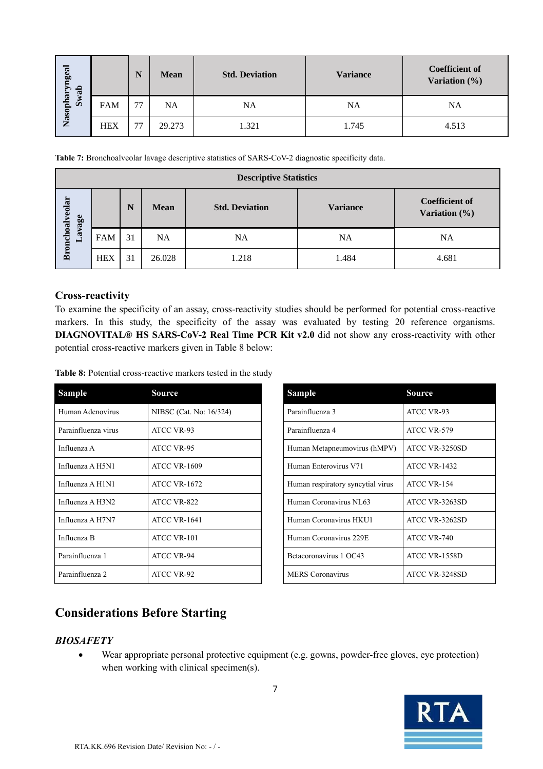| wab                 |            | N  | <b>Mean</b> | <b>Std. Deviation</b> | <b>Variance</b> | <b>Coefficient of</b><br>Variation $(\% )$ |
|---------------------|------------|----|-------------|-----------------------|-----------------|--------------------------------------------|
| Nasopharyngeal<br>Ō | <b>FAM</b> | 77 | NA          | NA                    | NA              | NA                                         |
|                     | <b>HEX</b> | 77 | 29.273      | 1.321                 | 1.745           | 4.513                                      |

| <b>Descriptive Statistics</b> |            |    |             |                       |                 |                                            |  |  |
|-------------------------------|------------|----|-------------|-----------------------|-----------------|--------------------------------------------|--|--|
| Bronchoalveolar               |            | N  | <b>Mean</b> | <b>Std. Deviation</b> | <b>Variance</b> | <b>Coefficient of</b><br>Variation $(\% )$ |  |  |
| Lavage                        | <b>FAM</b> | 31 | <b>NA</b>   | NA                    | NA              | NA                                         |  |  |
|                               | <b>HEX</b> | 31 | 26.028      | 1.218                 | 1.484           | 4.681                                      |  |  |

#### **Cross-reactivity**

To examine the specificity of an assay, cross-reactivity studies should be performed for potential cross-reactive markers. In this study, the specificity of the assay was evaluated by testing 20 reference organisms. **DIAGNOVITAL® HS SARS-CoV-2 Real Time PCR Kit v2.0** did not show any cross-reactivity with other potential cross-reactive markers given in Table 8 below:

| Nasopharyngeal  |                 |                     | N  | Mean                                       | <b>Std. Deviation</b>                                                                                                     | <b>Variance</b>                                                                                   | Coefficier<br><b>Variation</b> |
|-----------------|-----------------|---------------------|----|--------------------------------------------|---------------------------------------------------------------------------------------------------------------------------|---------------------------------------------------------------------------------------------------|--------------------------------|
|                 | Swal            | <b>FAM</b>          | 77 | NA                                         | NA                                                                                                                        | NA                                                                                                | NA.                            |
|                 |                 | HEX                 | 77 | 29.273                                     | 1.321                                                                                                                     | 1.745                                                                                             | 4.513                          |
|                 |                 |                     |    |                                            |                                                                                                                           |                                                                                                   |                                |
|                 |                 |                     |    |                                            |                                                                                                                           | Table 7: Bronchoalveolar lavage descriptive statistics of SARS-CoV-2 diagnostic specificity data. |                                |
|                 |                 |                     |    |                                            | <b>Descriptive Statistics</b>                                                                                             |                                                                                                   |                                |
| Bronchoalveolar | Lavage          |                     | N  | Mean                                       | <b>Std. Deviation</b>                                                                                                     | <b>Variance</b>                                                                                   | Coefficient<br>Variation (9    |
|                 |                 | <b>FAM</b>          | 31 | NA                                         | <b>NA</b>                                                                                                                 | <b>NA</b>                                                                                         | NA.                            |
|                 |                 | HEX                 | 31 | 26.028                                     | 1.218                                                                                                                     | 1.484                                                                                             | 4.681                          |
|                 |                 |                     |    |                                            | potential cross-reactive markers given in Table 8 below:<br>Table 8: Potential cross-reactive markers tested in the study | DIAGNOVITAL® HS SARS-CoV-2 Real Time PCR Kit v2.0 did not show any cross-reactivity wit           |                                |
|                 | Sample          |                     |    | Source                                     |                                                                                                                           | Sample                                                                                            | Source                         |
|                 |                 | Human Adenovirus    |    |                                            | NIBSC (Cat. No: 16/324)                                                                                                   | Parainfluenza 3                                                                                   | ATCC VR-93                     |
|                 |                 | Parainfluenza virus |    | ATCC VR-93                                 |                                                                                                                           | Parainfluenza 4                                                                                   | ATCC VR-579                    |
|                 | Influenza A     |                     |    | ATCC VR-95                                 |                                                                                                                           | Human Metapneumovirus (hMPV)                                                                      | ATCC VR-3250SD                 |
|                 |                 | Influenza A H5N1    |    | <b>ATCC VR-1609</b>                        |                                                                                                                           | Human Enterovirus V71                                                                             | <b>ATCC VR-1432</b>            |
|                 |                 | Influenza A H1N1    |    | <b>ATCC VR-1672</b>                        |                                                                                                                           | Human respiratory syncytial virus                                                                 | ATCC VR-154                    |
|                 |                 | Influenza A H3N2    |    | ATCC VR-822                                |                                                                                                                           | Human Coronavirus NL63                                                                            | ATCC VR-3263SD                 |
|                 |                 | Influenza A H7N7    |    | ATCC VR-1641                               |                                                                                                                           | Human Coronavirus HKU1                                                                            | ATCC VR-3262SD                 |
|                 | Influenza B     |                     |    | ATCC VR-101                                |                                                                                                                           | Human Coronavirus 229E                                                                            | ATCC VR-740                    |
|                 | Parainfluenza 1 |                     |    | ATCC VR-94                                 |                                                                                                                           | Betacoronavirus 1 OC43                                                                            | ATCC VR-1558D                  |
|                 | Parainfluenza 2 |                     |    | ATCC VR-92                                 |                                                                                                                           | <b>MERS</b> Coronavirus                                                                           | ATCC VR-3248SD                 |
|                 |                 | <b>BIOSAFETY</b>    |    | <b>Considerations Before Starting</b>      | when working with clinical specimen(s).                                                                                   | Wear appropriate personal protective equipment (e.g. gowns, powder-free gloves, eye protecti      |                                |
|                 |                 |                     |    |                                            | 7                                                                                                                         |                                                                                                   | <b>RTA</b>                     |
|                 |                 |                     |    | RTA.KK.696 Revision Date/ Revision No: -/- |                                                                                                                           |                                                                                                   |                                |

| Sample                            | Source              |
|-----------------------------------|---------------------|
| Parainfluenza 3                   | <b>ATCC VR-93</b>   |
| Parainfluenza 4                   | ATCC VR-579         |
| Human Metapneumovirus (hMPV)      | ATCC VR-3250SD      |
| Human Enterovirus V71             | <b>ATCC VR-1432</b> |
| Human respiratory syncytial virus | ATCC VR-154         |
| Human Coronavirus NL63            | ATCC VR-3263SD      |
| Human Coronavirus HKU1            | ATCC VR-3262SD      |
| Human Coronavirus 229E            | ATCC VR-740         |
| Betacoronavirus 1 OC43            | ATCC VR-1558D       |
| <b>MERS</b> Coronavirus           | ATCC VR-3248SD      |

# <span id="page-6-0"></span>**Considerations Before Starting**

#### <span id="page-6-1"></span>*BIOSAFETY*

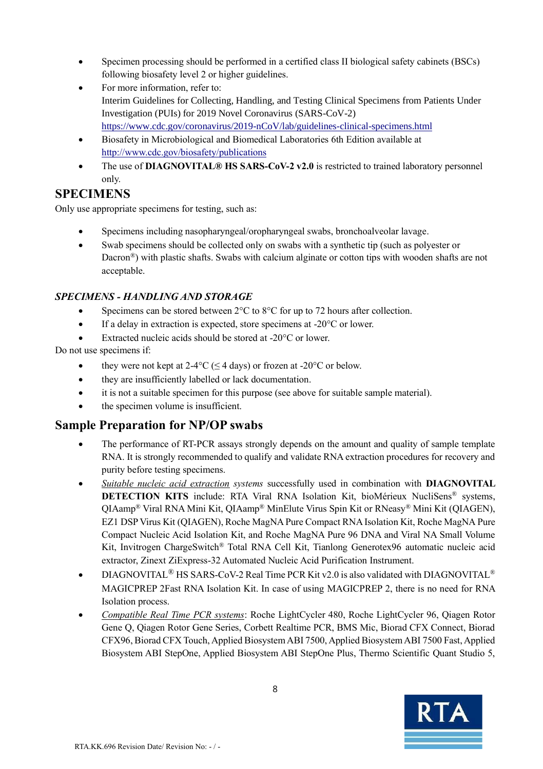- Specimen processing should be performed in a certified class II biological safety cabinets (BSCs) following biosafety level 2 or higher guidelines.
- For more information, refer to: Interim Guidelines for Collecting, Handling, and Testing Clinical Specimens from Patients Under Investigation (PUIs) for 2019 Novel Coronavirus (SARS-CoV-2) <https://www.cdc.gov/coronavirus/2019-nCoV/lab/guidelines-clinical-specimens.html>
- Biosafety in Microbiological and Biomedical Laboratories 6th Edition available at <http://www.cdc.gov/biosafety/publications>
- The use of **DIAGNOVITAL® HS SARS-CoV-2 v2.0** is restricted to trained laboratory personnel only.

# **SPECIMENS**

Only use appropriate specimens for testing, such as:

- Specimens including nasopharyngeal/oropharyngeal swabs, bronchoalveolar lavage.
- Swab specimens should be collected only on swabs with a synthetic tip (such as polyester or Dacron®) with plastic shafts. Swabs with calcium alginate or cotton tips with wooden shafts are not acceptable.

#### <span id="page-7-0"></span>*SPECIMENS - HANDLING AND STORAGE*

- Specimens can be stored between 2°C to 8°C for up to 72 hours after collection.
- If a delay in extraction is expected, store specimens at -20 °C or lower.
- Extracted nucleic acids should be stored at  $-20^{\circ}$ C or lower.

#### Do not use specimens if:

- they were not kept at  $2-4$ °C ( $\leq$  4 days) or frozen at  $-20$ °C or below.
- they are insufficiently labelled or lack documentation.
- it is not a suitable specimen for this purpose (see above for suitable sample material).
- the specimen volume is insufficient.

# <span id="page-7-1"></span>**Sample Preparation for NP/OP swabs**

- The performance of RT-PCR assays strongly depends on the amount and quality of sample template RNA. It is strongly recommended to qualify and validate RNA extraction procedures for recovery and purity before testing specimens.
- *Suitable nucleic acid extraction systems* successfully used in combination with **DIAGNOVITAL DETECTION KITS** include: RTA Viral RNA Isolation Kit, bioMérieux NucliSens® systems, QIAamp® Viral RNA Mini Kit, QIAamp® MinElute Virus Spin Kit or RNeasy® Mini Kit (QIAGEN), EZ1 DSP Virus Kit (QIAGEN), Roche MagNA Pure Compact RNA Isolation Kit, Roche MagNA Pure Compact Nucleic Acid Isolation Kit, and Roche MagNA Pure 96 DNA and Viral NA Small Volume Kit, Invitrogen ChargeSwitch® Total RNA Cell Kit, Tianlong Generotex96 automatic nucleic acid extractor, Zinext ZiExpress-32 Automated Nucleic Acid Purification Instrument.
- DIAGNOVITAL® HS SARS-CoV-2 Real Time PCR Kit v2.0 is also validated with DIAGNOVITAL® MAGICPREP 2Fast RNA Isolation Kit. In case of using MAGICPREP 2, there is no need for RNA Isolation process.
- *Compatible Real Time PCR systems*: Roche LightCycler 480, Roche LightCycler 96, Qiagen Rotor Gene Q, Qiagen Rotor Gene Series, Corbett Realtime PCR, BMS Mic, Biorad CFX Connect, Biorad CFX96, Biorad CFX Touch, Applied Biosystem ABI 7500, Applied Biosystem ABI 7500 Fast, Applied Biosystem ABI StepOne, Applied Biosystem ABI StepOne Plus, Thermo Scientific Quant Studio 5,

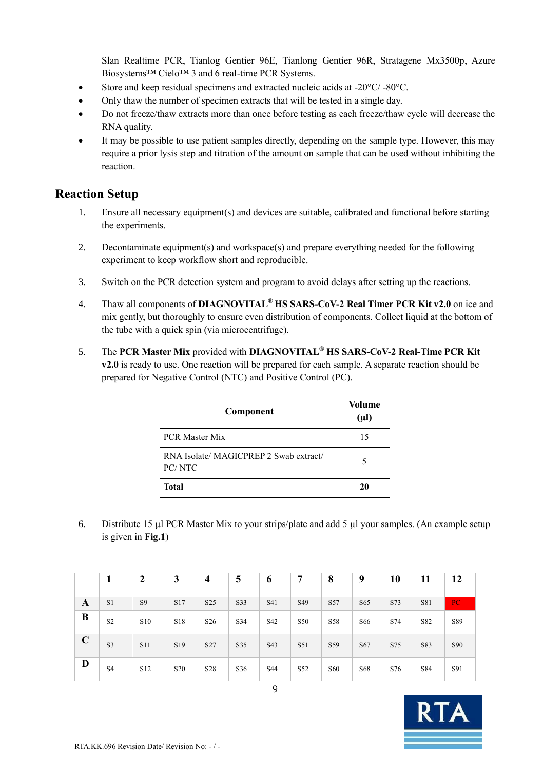Slan Realtime PCR, Tianlog Gentier 96E, Tianlong Gentier 96R, Stratagene Mx3500p, Azure Biosystems™ Cielo™ 3 and 6 real-time PCR Systems.

- Store and keep residual specimens and extracted nucleic acids at -20°C/ -80°C.
- Only thaw the number of specimen extracts that will be tested in a single day.
- Do not freeze/thaw extracts more than once before testing as each freeze/thaw cycle will decrease the RNA quality.
- It may be possible to use patient samples directly, depending on the sample type. However, this may require a prior lysis step and titration of the amount on sample that can be used without inhibiting the reaction.

#### <span id="page-8-0"></span>**Reaction Setup**

- 1. Ensure all necessary equipment(s) and devices are suitable, calibrated and functional before starting the experiments.
- 2. Decontaminate equipment(s) and workspace(s) and prepare everything needed for the following experiment to keep workflow short and reproducible.
- 3. Switch on the PCR detection system and program to avoid delays after setting up the reactions.
- 4. Thaw all components of **DIAGNOVITAL® HS SARS-CoV-2 Real Timer PCR Kit v2.0** on ice and mix gently, but thoroughly to ensure even distribution of components. Collect liquid at the bottom of the tube with a quick spin (via microcentrifuge).
- 5. The **PCR Master Mix** provided with **DIAGNOVITAL® HS SARS-CoV-2 Real-Time PCR Kit v2.0** is ready to use. One reaction will be prepared for each sample. A separate reaction should be prepared for Negative Control (NTC) and Positive Control (PC).

| Component                                        | Volume<br>$(\mu l)$ |
|--------------------------------------------------|---------------------|
| <b>PCR Master Mix</b>                            | 15                  |
| RNA Isolate/ MAGICPREP 2 Swab extract/<br>PC/NTC |                     |
| Total                                            | 20                  |

6. Distribute 15 µl PCR Master Mix to your strips/plate and add 5 µl your samples. (An example setup is given in **Fig.1**)

|              | 1              | $\mathbf{2}$    | 3               | $\overline{4}$  | 5   | 6   | 7               | 8               | 9               | 10  | 11  | 12  |
|--------------|----------------|-----------------|-----------------|-----------------|-----|-----|-----------------|-----------------|-----------------|-----|-----|-----|
| A            | S1             | S <sub>9</sub>  | S17             | S <sub>25</sub> | S33 | S41 | S49             | S <sub>57</sub> | S <sub>65</sub> | S73 | S81 | PC. |
| B            | S <sub>2</sub> | S <sub>10</sub> | S18             | S <sub>26</sub> | S34 | S42 | S <sub>50</sub> | S58             | S66             | S74 | S82 | S89 |
| $\mathbf{C}$ | S <sub>3</sub> | <b>S11</b>      | S19             | S <sub>27</sub> | S35 | S43 | S51             | S59             | S <sub>67</sub> | S75 | S83 | S90 |
| D            | S4             | S <sub>12</sub> | S <sub>20</sub> | S <sub>28</sub> | S36 | S44 | S <sub>52</sub> | S60             | S68             | S76 | S84 | S91 |

9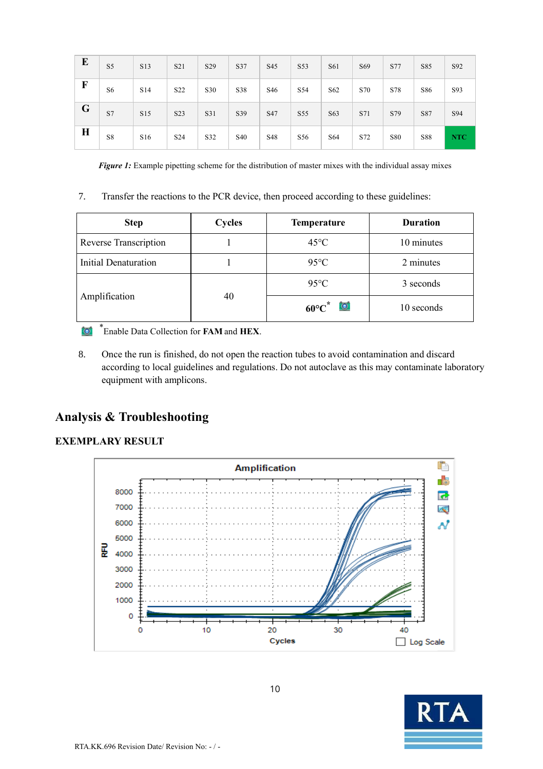| E           | S5             | S13 | S21              | S29 | S37             | S45             | S53             | S61 | S69 | S77 | S85        | S92        |
|-------------|----------------|-----|------------------|-----|-----------------|-----------------|-----------------|-----|-----|-----|------------|------------|
| $\mathbf F$ | S <sub>6</sub> | S14 | S <sub>22</sub>  | S30 | S38             | S <sub>46</sub> | S54             | S62 | S70 | S78 | S86        | S93        |
| G           | S7             | S15 | S <sub>2</sub> 3 | S31 | S39             | S47             | S55             | S63 | S71 | S79 | S87        | S94        |
| $\bf{H}$    | S8             | S16 | S <sub>24</sub>  | S32 | S <sub>40</sub> | S48             | S <sub>56</sub> | S64 | S72 | S80 | <b>S88</b> | <b>NTC</b> |

*Figure 1:* Example pipetting scheme for the distribution of master mixes with the individual assay mixes

7. Transfer the reactions to the PCR device, then proceed according to these guidelines:

| <b>Step</b>           | Cycles | Temperature            | <b>Duration</b> |
|-----------------------|--------|------------------------|-----------------|
| Reverse Transcription |        | $45^{\circ}$ C         | 10 minutes      |
| Initial Denaturation  |        | $95^{\circ}$ C         | 2 minutes       |
|                       |        | $95^{\circ}$ C         | 3 seconds       |
| Amplification         | 40     | $60^{\circ}C^{*}$<br>ত | 10 seconds      |

\* Enable Data Collection for **FAM** and **HEX**.

8. Once the run is finished, do not open the reaction tubes to avoid contamination and discard according to local guidelines and regulations. Do not autoclave as this may contaminate laboratory equipment with amplicons.

## **Analysis & Troubleshooting**

#### **EXEMPLARY RESULT**



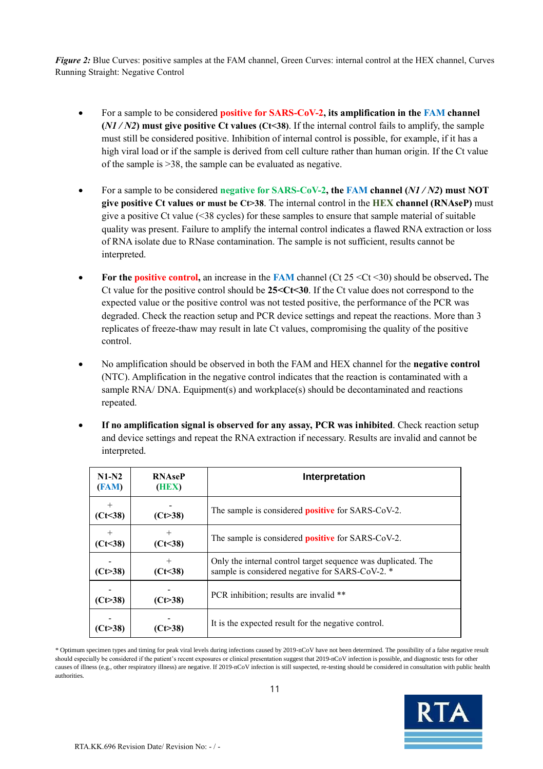*Figure 2:* Blue Curves: positive samples at the FAM channel, Green Curves: internal control at the HEX channel, Curves Running Straight: Negative Control

- For a sample to be considered **positive for SARS-CoV-2, its amplification in the FAM channel (***N1 / N2***) must give positive Ct values (Ct<38)**. If the internal control fails to amplify, the sample must still be considered positive. Inhibition of internal control is possible, for example, if it has a high viral load or if the sample is derived from cell culture rather than human origin. If the Ct value of the sample is >38, the sample can be evaluated as negative.
- For a sample to be considered **negative for SARS-CoV-2, the FAM channel (***N1 / N2***) must NOT give positive Ct values or must be Ct>38**. The internal control in the **HEX channel (RNAseP)** must give a positive Ct value (<38 cycles) for these samples to ensure that sample material of suitable quality was present. Failure to amplify the internal control indicates a flawed RNA extraction or loss of RNA isolate due to RNase contamination. The sample is not sufficient, results cannot be interpreted.
- **For the positive control,** an increase in the **FAM** channel (Ct 25 <Ct <30) should be observed**.** The Ct value for the positive control should be **25<Ct<30**. If the Ct value does not correspond to the expected value or the positive control was not tested positive, the performance of the PCR was degraded. Check the reaction setup and PCR device settings and repeat the reactions. More than 3 replicates of freeze-thaw may result in late Ct values, compromising the quality of the positive control.
- No amplification should be observed in both the FAM and HEX channel for the **negative control** (NTC). Amplification in the negative control indicates that the reaction is contaminated with a sample RNA/ DNA. Equipment(s) and workplace(s) should be decontaminated and reactions repeated.
- **If no amplification signal is observed for any assay, PCR was inhibited**. Check reaction setup and device settings and repeat the RNA extraction if necessary. Results are invalid and cannot be interpreted.

| $N1-N2$<br>(FAM)     | <b>RNAseP</b><br>(HEX) | Interpretation                                                                                                   |
|----------------------|------------------------|------------------------------------------------------------------------------------------------------------------|
| $^{+}$<br>(Ct<38)    | (Ct > 38)              | The sample is considered <b>positive</b> for SARS-CoV-2.                                                         |
| $^{+}$<br>(Ct<38)    | $^+$<br>(Ct<38)        | The sample is considered <b>positive</b> for SARS-CoV-2.                                                         |
| $(C \rightarrow 38)$ | $^{+}$<br>(Ct<38)      | Only the internal control target sequence was duplicated. The<br>sample is considered negative for SARS-CoV-2. * |
| (Ct>38)              | (Ct > 38)              | PCR inhibition; results are invalid **                                                                           |
| ′Ct>38)              | Ct>38)                 | It is the expected result for the negative control.                                                              |

11 *\** Optimum specimen types and timing for peak viral levels during infections caused by 2019-nCoV have not been determined. The possibility of a false negative result should especially be considered if the patient's recent exposures or clinical presentation suggest that 2019-nCoV infection is possible, and diagnostic tests for other causes of illness (e.g., other respiratory illness) are negative. If 2019-nCoV infection is still suspected, re-testing should be considered in consultation with public health authorities.

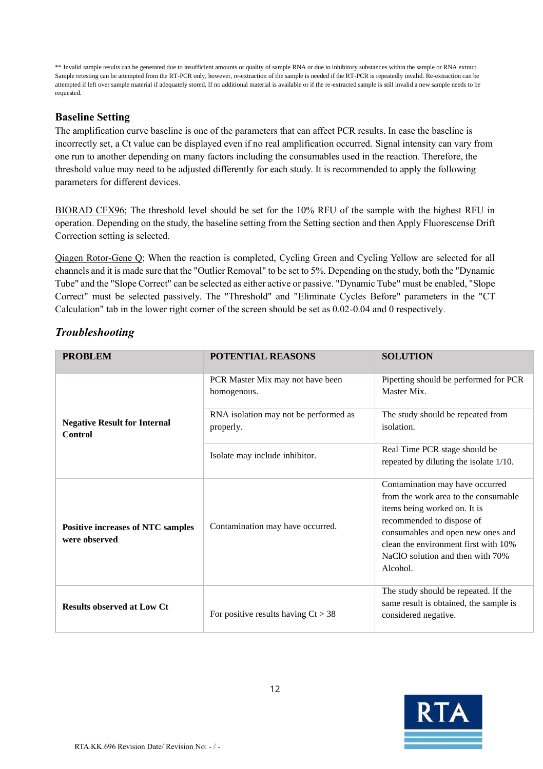\*\* Invalid sample results can be generated due to insufficient amounts or quality of sample RNA or due to inhibitory substances within the sample or RNA extract. Sample retesting can be attempted from the RT-PCR only, however, re-extraction of the sample is needed if the RT-PCR is repeatedly invalid. Re-extraction can be attempted if left over sample material if adequately stored. If no additional material is available or if the re-extracted sample is still invalid a new sample needs to be requested.

#### <span id="page-11-0"></span>**Baseline Setting**

The amplification curve baseline is one of the parameters that can affect PCR results. In case the baseline is incorrectly set, a Ct value can be displayed even if no real amplification occurred. Signal intensity can vary from one run to another depending on many factors including the consumables used in the reaction. Therefore, the threshold value may need to be adjusted differently for each study. It is recommended to apply the following parameters for different devices.

BIORAD CFX96; The threshold level should be set for the 10% RFU of the sample with the highest RFU in operation. Depending on the study, the baseline setting from the Setting section and then Apply Fluorescense Drift Correction setting is selected.

Qiagen Rotor-Gene Q; When the reaction is completed, Cycling Green and Cycling Yellow are selected for all channels and it is made sure that the "Outlier Removal" to be set to 5%. Depending on the study, both the "Dynamic Tube" and the "Slope Correct" can be selected as either active or passive. "Dynamic Tube" must be enabled, "Slope Correct" must be selected passively. The "Threshold" and "Eliminate Cycles Before" parameters in the "CT Calculation" tab in the lower right corner of the screen should be set as 0.02-0.04 and 0 respectively.

| <b>PROBLEM</b>                                            | <b>POTENTIAL REASONS</b>                           | <b>SOLUTION</b>                                                                                                                                                                                                                                                   |  |  |
|-----------------------------------------------------------|----------------------------------------------------|-------------------------------------------------------------------------------------------------------------------------------------------------------------------------------------------------------------------------------------------------------------------|--|--|
|                                                           | PCR Master Mix may not have been<br>homogenous.    | Pipetting should be performed for PCR<br>Master Mix.                                                                                                                                                                                                              |  |  |
| <b>Negative Result for Internal</b><br>Control            | RNA isolation may not be performed as<br>properly. | The study should be repeated from<br>isolation.                                                                                                                                                                                                                   |  |  |
|                                                           | Isolate may include inhibitor.                     | Real Time PCR stage should be<br>repeated by diluting the isolate 1/10.                                                                                                                                                                                           |  |  |
| <b>Positive increases of NTC samples</b><br>were observed | Contamination may have occurred.                   | Contamination may have occurred<br>from the work area to the consumable<br>items being worked on. It is<br>recommended to dispose of<br>consumables and open new ones and<br>clean the environment first with 10%<br>NaClO solution and then with 70%<br>Alcohol. |  |  |
| <b>Results observed at Low Ct</b>                         | For positive results having $Ct > 38$              | The study should be repeated. If the<br>same result is obtained, the sample is<br>considered negative.                                                                                                                                                            |  |  |

#### *Troubleshooting*

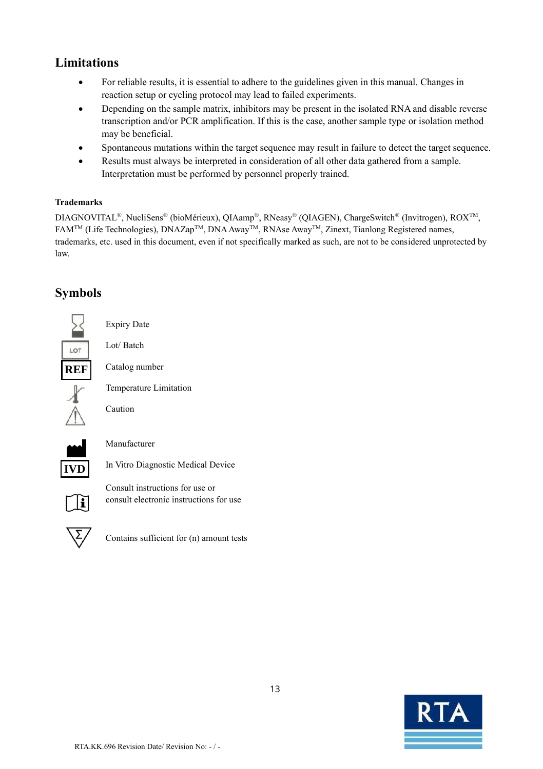# <span id="page-12-0"></span>**Limitations**

- For reliable results, it is essential to adhere to the guidelines given in this manual. Changes in reaction setup or cycling protocol may lead to failed experiments.
- Depending on the sample matrix, inhibitors may be present in the isolated RNA and disable reverse transcription and/or PCR amplification. If this is the case, another sample type or isolation method may be beneficial.
- Spontaneous mutations within the target sequence may result in failure to detect the target sequence.
- Results must always be interpreted in consideration of all other data gathered from a sample. Interpretation must be performed by personnel properly trained.

#### <span id="page-12-1"></span>**Trademarks**

DIAGNOVITAL®, NucliSens® (bioMérieux), QIAamp®, RNeasy® (QIAGEN), ChargeSwitch® (Invitrogen), ROXTM, FAMTM (Life Technologies), DNAZapTM, DNA AwayTM, RNAse AwayTM, Zinext, Tianlong Registered names, trademarks, etc. used in this document, even if not specifically marked as such, are not to be considered unprotected by law.

# <span id="page-12-2"></span>**Symbols**

|     | <b>Expiry Date</b>                 |
|-----|------------------------------------|
| LOT | Lot/Batch                          |
| ₹EF | Catalog number                     |
|     | Temperature Limitation             |
|     | Caution                            |
|     | Manufacturer                       |
|     | In Vitro Diagnostic Medical Device |
|     | Consult instructions for use or    |

for use or consult electronic instructions for use



Ŧ

**IVD**

Contains sufficient for (n) amount tests